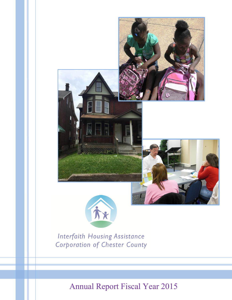



**Interfaith Housing Assistance Corporation of Chester County** 

Annual Report Fiscal Year 2015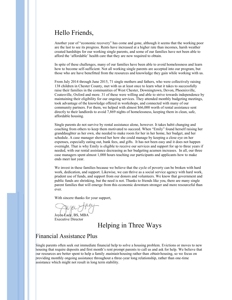# Hello Friends,

Another year of "economic recovery" has come and gone, although it seems that the working poor are the last to see its progress. Rents have increased at a higher rate than incomes, harsh weather created hardships for our working single parents, and some of our families have not been able to afford the 'affordable' health care that they are now required to obtain.

In spite of these challenges, many of our families have been able to avoid homelessness and learn how to become self-sufficient. Not all working single parents are accepted into our program, but those who are have benefitted from the resources and knowledge they gain while working with us.

From July 2014 through June 2015, 71 single mothers and fathers, who were collectively raising 138 children in Chester County, met with us at least once to learn what it takes to successfully raise their families in the communities of West Chester, Downingtown, Devon, Phoenixville, Coatesville, Oxford and more. 31 of these were willing and able to strive towards independence by maintaining their eligibility for our ongoing services. They attended monthly budgeting meetings, took advantage of the knowledge offered in workshops, and connected with many of our community partners. For them, we helped with almost \$66,000 worth of rental assistance sent directly to their landlords to avoid 7,869 nights of homelessness, keeping them in clean, safe, affordable housing.

Single parents do not survive by rental assistance alone, however. It takes habit changing and coaching from others to keep them motivated to succeed. When "Emily" found herself raising her granddaughter as her own, she needed to make room for her in her home, her budget, and her schedule. A case manager showed her how she could manage by keeping a close eye on her expenses, especially eating out, bank fees, and gifts. It has not been easy and it does not happen overnight. That is why Emily is eligible to receive our services and support for up to three years if needed, with our rental assistance decreasing as her budgeting acumen increases. In all, our three case managers spent almost 1,000 hours teaching our participants and applicants how to make ends meet last year.

We invest in these families because we believe that the cycle of poverty can be broken with hard work, dedication, and support. Likewise, we can thrive as a social service agency with hard work, prudent use of funds, and support from our donors and volunteers. We know that government and public funds are shrinking, but the need is not. Thanks to friends like you, there are many single parent families that will emerge from this economic downturn stronger and more resourceful than ever.

With sincere thanks for your support,

Joyce Lacy, BS, MBA Executive Director

### Helping in Three Ways

#### Financial Assistance Plus

Single parents often seek out immediate financial help to solve a housing problem. Evictions or moves to new housing that require deposits and first month's rent prompt parents to call us and ask for help. We believe that our resources are better spent to help a family *maintain* housing rather than *obtain* housing, so we focus on providing monthly ongoing assistance throughout a three-year long relationship, rather than one-time assistance which might not result in long term stability.